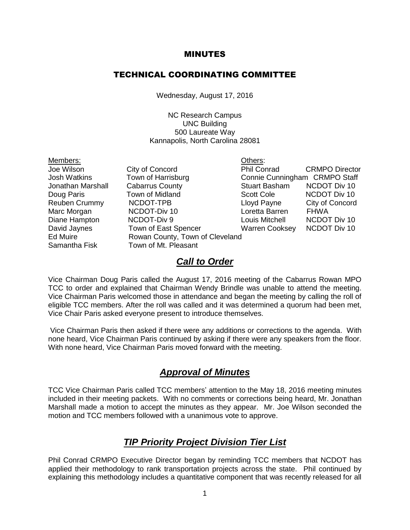#### MINUTES

#### TECHNICAL COORDINATING COMMITTEE

Wednesday, August 17, 2016

NC Research Campus UNC Building 500 Laureate Way Kannapolis, North Carolina 28081

- Members: Others:
- Jonathan Marshall Cabarrus County **Stuart Basham** NCDOT Div 10 Doug Paris Town of Midland Scott Cole NCDOT Div 10 Marc Morgan **NCDOT-Div 10** Loretta Barren FHWA Diane Hampton NCDOT-Div 9 Louis Mitchell NCDOT Div 10 David Jaynes Town of East Spencer Warren Cooksey NCDOT Div 10 Ed Muire **Rowan County**, Town of Cleveland Samantha Fisk Town of Mt. Pleasant

Joe Wilson City of Concord Phil Conrad CRMPO Director Josh Watkins Town of Harrisburg Connie Cunningham CRMPO Staff Reuben Crummy NCDOT-TPB Lloyd Payne City of Concord

#### *Call to Order*

Vice Chairman Doug Paris called the August 17, 2016 meeting of the Cabarrus Rowan MPO TCC to order and explained that Chairman Wendy Brindle was unable to attend the meeting. Vice Chairman Paris welcomed those in attendance and began the meeting by calling the roll of eligible TCC members. After the roll was called and it was determined a quorum had been met, Vice Chair Paris asked everyone present to introduce themselves.

Vice Chairman Paris then asked if there were any additions or corrections to the agenda. With none heard, Vice Chairman Paris continued by asking if there were any speakers from the floor. With none heard, Vice Chairman Paris moved forward with the meeting.

#### *Approval of Minutes*

TCC Vice Chairman Paris called TCC members' attention to the May 18, 2016 meeting minutes included in their meeting packets. With no comments or corrections being heard, Mr. Jonathan Marshall made a motion to accept the minutes as they appear. Mr. Joe Wilson seconded the motion and TCC members followed with a unanimous vote to approve.

## *TIP Priority Project Division Tier List*

Phil Conrad CRMPO Executive Director began by reminding TCC members that NCDOT has applied their methodology to rank transportation projects across the state. Phil continued by explaining this methodology includes a quantitative component that was recently released for all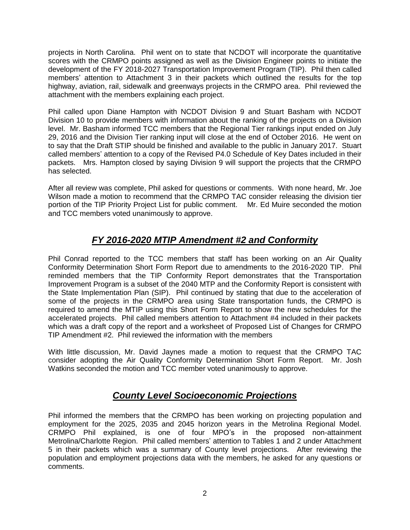projects in North Carolina. Phil went on to state that NCDOT will incorporate the quantitative scores with the CRMPO points assigned as well as the Division Engineer points to initiate the development of the FY 2018-2027 Transportation Improvement Program (TIP). Phil then called members' attention to Attachment 3 in their packets which outlined the results for the top highway, aviation, rail, sidewalk and greenways projects in the CRMPO area. Phil reviewed the attachment with the members explaining each project.

Phil called upon Diane Hampton with NCDOT Division 9 and Stuart Basham with NCDOT Division 10 to provide members with information about the ranking of the projects on a Division level. Mr. Basham informed TCC members that the Regional Tier rankings input ended on July 29, 2016 and the Division Tier ranking input will close at the end of October 2016. He went on to say that the Draft STIP should be finished and available to the public in January 2017. Stuart called members' attention to a copy of the Revised P4.0 Schedule of Key Dates included in their packets. Mrs. Hampton closed by saying Division 9 will support the projects that the CRMPO has selected.

After all review was complete, Phil asked for questions or comments. With none heard, Mr. Joe Wilson made a motion to recommend that the CRMPO TAC consider releasing the division tier portion of the TIP Priority Project List for public comment. Mr. Ed Muire seconded the motion and TCC members voted unanimously to approve.

# *FY 2016-2020 MTIP Amendment #2 and Conformity*

Phil Conrad reported to the TCC members that staff has been working on an Air Quality Conformity Determination Short Form Report due to amendments to the 2016-2020 TIP. Phil reminded members that the TIP Conformity Report demonstrates that the Transportation Improvement Program is a subset of the 2040 MTP and the Conformity Report is consistent with the State Implementation Plan (SIP). Phil continued by stating that due to the acceleration of some of the projects in the CRMPO area using State transportation funds, the CRMPO is required to amend the MTIP using this Short Form Report to show the new schedules for the accelerated projects. Phil called members attention to Attachment #4 included in their packets which was a draft copy of the report and a worksheet of Proposed List of Changes for CRMPO TIP Amendment #2. Phil reviewed the information with the members

With little discussion, Mr. David Jaynes made a motion to request that the CRMPO TAC consider adopting the Air Quality Conformity Determination Short Form Report. Mr. Josh Watkins seconded the motion and TCC member voted unanimously to approve.

## *County Level Socioeconomic Projections*

Phil informed the members that the CRMPO has been working on projecting population and employment for the 2025, 2035 and 2045 horizon years in the Metrolina Regional Model. CRMPO Phil explained, is one of four MPO's in the proposed non-attainment Metrolina/Charlotte Region. Phil called members' attention to Tables 1 and 2 under Attachment 5 in their packets which was a summary of County level projections. After reviewing the population and employment projections data with the members, he asked for any questions or comments.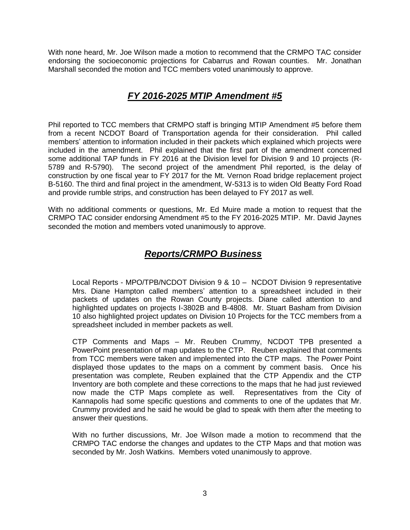With none heard, Mr. Joe Wilson made a motion to recommend that the CRMPO TAC consider endorsing the socioeconomic projections for Cabarrus and Rowan counties. Mr. Jonathan Marshall seconded the motion and TCC members voted unanimously to approve.

## *FY 2016-2025 MTIP Amendment #5*

Phil reported to TCC members that CRMPO staff is bringing MTIP Amendment #5 before them from a recent NCDOT Board of Transportation agenda for their consideration. Phil called members' attention to information included in their packets which explained which projects were included in the amendment. Phil explained that the first part of the amendment concerned some additional TAP funds in FY 2016 at the Division level for Division 9 and 10 projects (R-5789 and R-5790). The second project of the amendment Phil reported, is the delay of construction by one fiscal year to FY 2017 for the Mt. Vernon Road bridge replacement project B-5160. The third and final project in the amendment, W-5313 is to widen Old Beatty Ford Road and provide rumble strips, and construction has been delayed to FY 2017 as well.

With no additional comments or questions, Mr. Ed Muire made a motion to request that the CRMPO TAC consider endorsing Amendment #5 to the FY 2016-2025 MTIP. Mr. David Jaynes seconded the motion and members voted unanimously to approve.

## *Reports/CRMPO Business*

Local Reports - MPO/TPB/NCDOT Division 9 & 10 – NCDOT Division 9 representative Mrs. Diane Hampton called members' attention to a spreadsheet included in their packets of updates on the Rowan County projects. Diane called attention to and highlighted updates on projects I-3802B and B-4808. Mr. Stuart Basham from Division 10 also highlighted project updates on Division 10 Projects for the TCC members from a spreadsheet included in member packets as well.

CTP Comments and Maps – Mr. Reuben Crummy, NCDOT TPB presented a PowerPoint presentation of map updates to the CTP. Reuben explained that comments from TCC members were taken and implemented into the CTP maps. The Power Point displayed those updates to the maps on a comment by comment basis. Once his presentation was complete, Reuben explained that the CTP Appendix and the CTP Inventory are both complete and these corrections to the maps that he had just reviewed now made the CTP Maps complete as well. Representatives from the City of Kannapolis had some specific questions and comments to one of the updates that Mr. Crummy provided and he said he would be glad to speak with them after the meeting to answer their questions.

With no further discussions, Mr. Joe Wilson made a motion to recommend that the CRMPO TAC endorse the changes and updates to the CTP Maps and that motion was seconded by Mr. Josh Watkins. Members voted unanimously to approve.